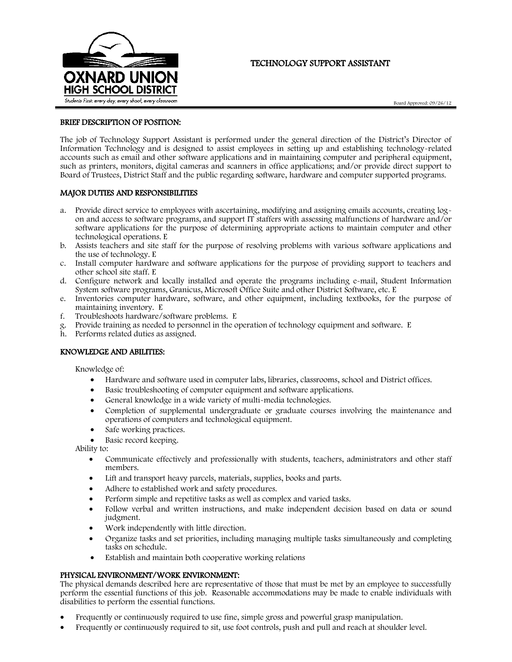

# TECHNOLOGY SUPPORT ASSISTANT

Board Approved: 09/26/12

### BRIEF DESCRIPTION OF POSITION:

The job of Technology Support Assistant is performed under the general direction of the District's Director of Information Technology and is designed to assist employees in setting up and establishing technology-related accounts such as email and other software applications and in maintaining computer and peripheral equipment, such as printers, monitors, digital cameras and scanners in office applications; and/or provide direct support to Board of Trustees, District Staff and the public regarding software, hardware and computer supported programs.

## MAJOR DUTIES AND RESPONSIBILITIES

- a. Provide direct service to employees with ascertaining, modifying and assigning emails accounts, creating logon and access to software programs, and support IT staffers with assessing malfunctions of hardware and/or software applications for the purpose of determining appropriate actions to maintain computer and other technological operations. E
- b. Assists teachers and site staff for the purpose of resolving problems with various software applications and the use of technology. E
- c. Install computer hardware and software applications for the purpose of providing support to teachers and other school site staff. E
- d. Configure network and locally installed and operate the programs including e-mail, Student Information System software programs, Granicus, Microsoft Office Suite and other District Software, etc. E
- e. Inventories computer hardware, software, and other equipment, including textbooks, for the purpose of maintaining inventory. E
- f. Troubleshoots hardware/software problems. E
- g. Provide training as needed to personnel in the operation of technology equipment and software. E
- h. Performs related duties as assigned.

### KNOWLEDGE AND ABILITIES:

Knowledge of:

- Hardware and software used in computer labs, libraries, classrooms, school and District offices.
- Basic troubleshooting of computer equipment and software applications.
- General knowledge in a wide variety of multi-media technologies.
- Completion of supplemental undergraduate or graduate courses involving the maintenance and operations of computers and technological equipment.
- Safe working practices.
- Basic record keeping.

Ability to:

- Communicate effectively and professionally with students, teachers, administrators and other staff members.
- Lift and transport heavy parcels, materials, supplies, books and parts.
- Adhere to established work and safety procedures.
- Perform simple and repetitive tasks as well as complex and varied tasks.
- Follow verbal and written instructions, and make independent decision based on data or sound judgment.
- Work independently with little direction.
- Organize tasks and set priorities, including managing multiple tasks simultaneously and completing tasks on schedule.
- Establish and maintain both cooperative working relations

## PHYSICAL ENVIRONMENT/WORK ENVIRONMENT:

The physical demands described here are representative of those that must be met by an employee to successfully perform the essential functions of this job. Reasonable accommodations may be made to enable individuals with disabilities to perform the essential functions.

- Frequently or continuously required to use fine, simple gross and powerful grasp manipulation.
- Frequently or continuously required to sit, use foot controls, push and pull and reach at shoulder level.